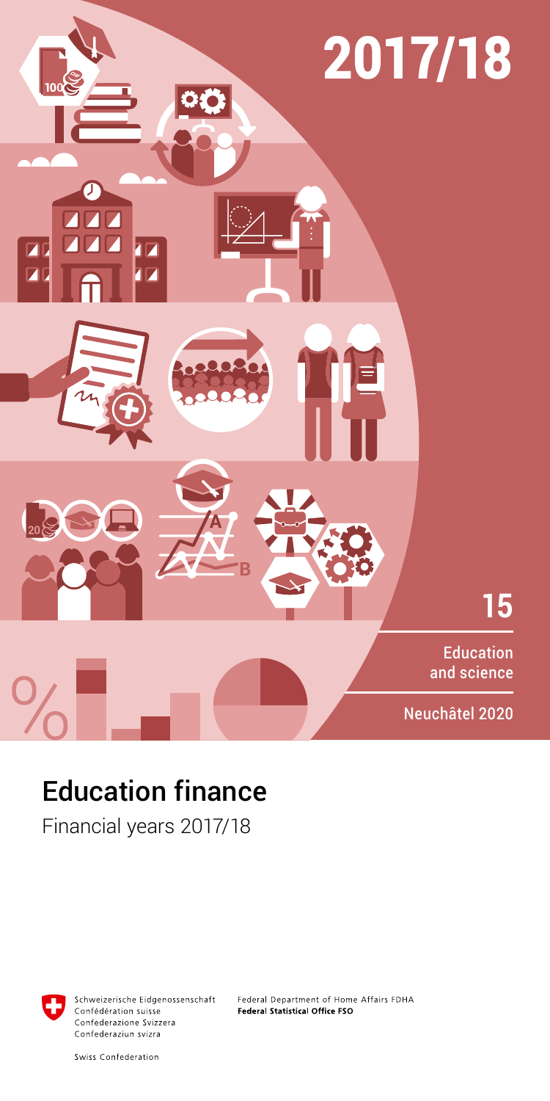

# Education finance

Financial years 2017/18



Schweizerische Eidgenossenschaft Confédération suisse Confederazione Svizzera Confederaziun svizra

Federal Department of Home Affairs FDHA Federal Statistical Office FSO

Swiss Confederation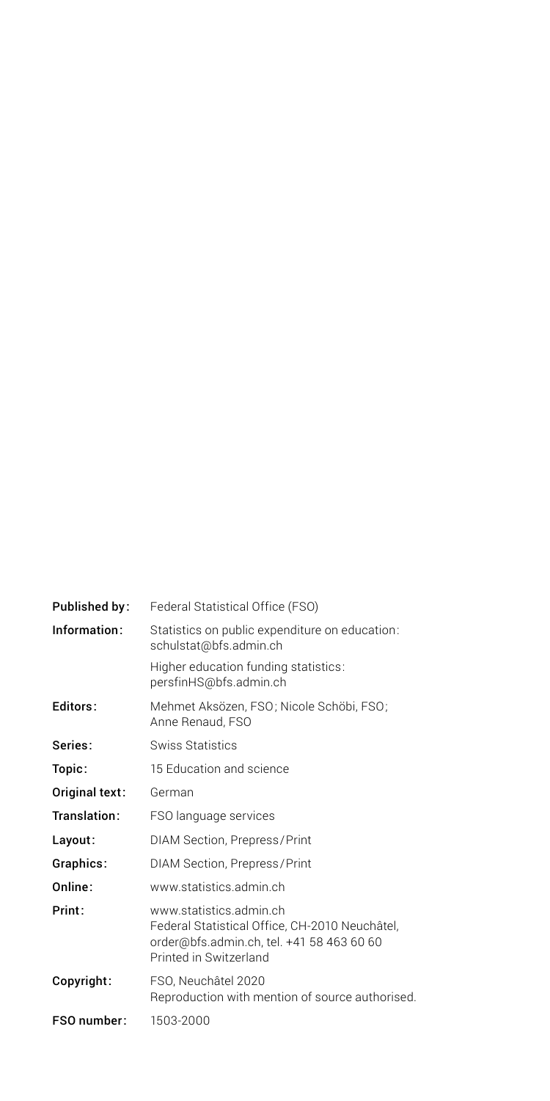| Published by:  | Federal Statistical Office (FSO)                                                                                                                 |
|----------------|--------------------------------------------------------------------------------------------------------------------------------------------------|
| Information:   | Statistics on public expenditure on education:<br>schulstat@bfs.admin.ch                                                                         |
|                | Higher education funding statistics:<br>persfinHS@bfs.admin.ch                                                                                   |
| Editors:       | Mehmet Aksözen, FSO; Nicole Schöbi, FSO;<br>Anne Renaud, FSO                                                                                     |
| Series:        | Swiss Statistics                                                                                                                                 |
| Topic:         | 15 Education and science                                                                                                                         |
| Original text: | German                                                                                                                                           |
| Translation:   | FSO language services                                                                                                                            |
| Layout:        | DIAM Section, Prepress/Print                                                                                                                     |
| Graphics:      | DIAM Section, Prepress/Print                                                                                                                     |
| Online:        | www.statistics.admin.ch                                                                                                                          |
| Print:         | www.statistics.admin.ch<br>Federal Statistical Office, CH-2010 Neuchâtel,<br>order@bfs.admin.ch, tel. +41 58 463 60 60<br>Printed in Switzerland |
| Copyright:     | FSO, Neuchâtel 2020<br>Reproduction with mention of source authorised.                                                                           |
| FSO number:    | 1503-2000                                                                                                                                        |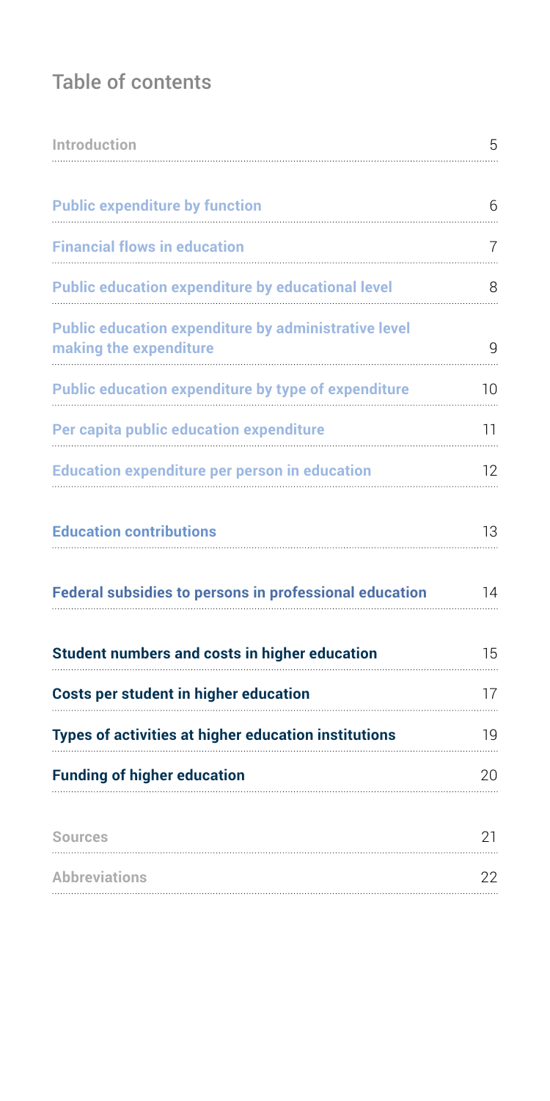# Table of contents

| Introduction                                                                          | 5  |
|---------------------------------------------------------------------------------------|----|
| <b>Public expenditure by function</b>                                                 | 6  |
| <b>Financial flows in education</b>                                                   | 7  |
| Public education expenditure by educational level                                     | 8  |
| <b>Public education expenditure by administrative level</b><br>making the expenditure | g  |
| <b>Public education expenditure by type of expenditure</b>                            | 10 |
| Per capita public education expenditure                                               | 11 |
| <b>Education expenditure per person in education</b>                                  | 12 |
| <b>Education contributions</b>                                                        | 13 |
| <b>Federal subsidies to persons in professional education</b>                         | 14 |
| Student numbers and costs in higher education                                         | 15 |
| <b>Costs per student in higher education</b>                                          | 17 |
| Types of activities at higher education institutions                                  | 19 |
| <b>Funding of higher education</b>                                                    | 20 |
| Sources                                                                               | 21 |
| <b>Abbreviations</b>                                                                  | 22 |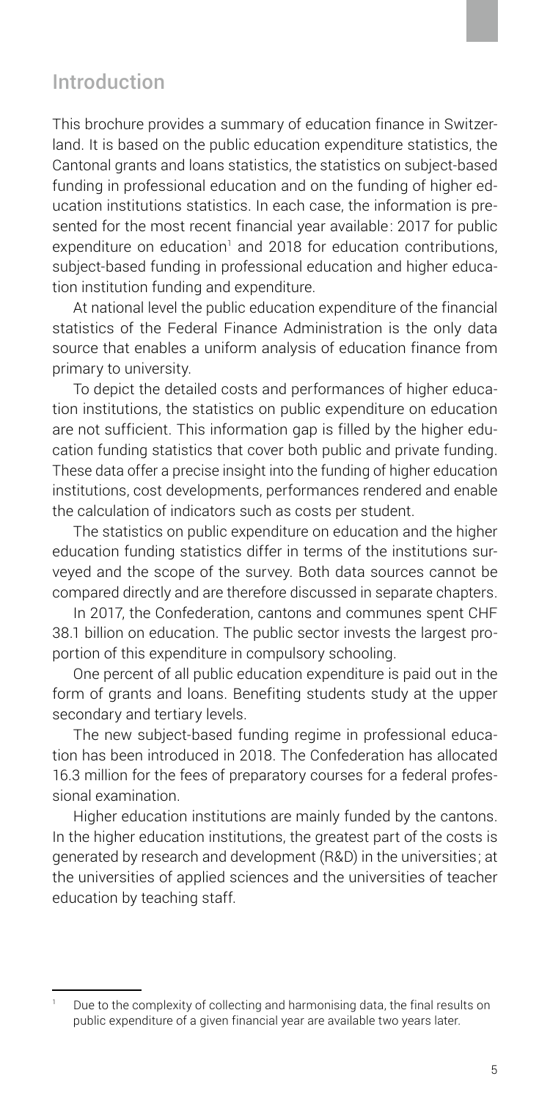# <span id="page-4-0"></span>Introduction

This brochure provides a summary of education finance in Switzerland. It is based on the public education expenditure statistics, the Cantonal grants and loans statistics, the statistics on subject-based funding in professional education and on the funding of higher education institutions statistics. In each case, the information is presented for the most recent financial year available: 2017 for public expenditure on education<sup>1</sup> and 2018 for education contributions, subject-based funding in professional education and higher education institution funding and expenditure.

At national level the public education expenditure of the financial statistics of the Federal Finance Administration is the only data source that enables a uniform analysis of education finance from primary to university.

To depict the detailed costs and performances of higher education institutions, the statistics on public expenditure on education are not sufficient. This information gap is filled by the higher education funding statistics that cover both public and private funding. These data offer a precise insight into the funding of higher education institutions, cost developments, performances rendered and enable the calculation of indicators such as costs per student.

The statistics on public expenditure on education and the higher education funding statistics differ in terms of the institutions surveyed and the scope of the survey. Both data sources cannot be compared directly and are therefore discussed in separate chapters.

In 2017, the Confederation, cantons and communes spent CHF 38.1 billion on education. The public sector invests the largest proportion of this expenditure in compulsory schooling.

One percent of all public education expenditure is paid out in the form of grants and loans. Benefiting students study at the upper secondary and tertiary levels.

The new subject-based funding regime in professional education has been introduced in 2018. The Confederation has allocated 16.3 million for the fees of preparatory courses for a federal professional examination.

Higher education institutions are mainly funded by the cantons. In the higher education institutions, the greatest part of the costs is generated by research and development (R&D) in the universities; at the universities of applied sciences and the universities of teacher education by teaching staff.

Due to the complexity of collecting and harmonising data, the final results on public expenditure of a given financial year are available two years later.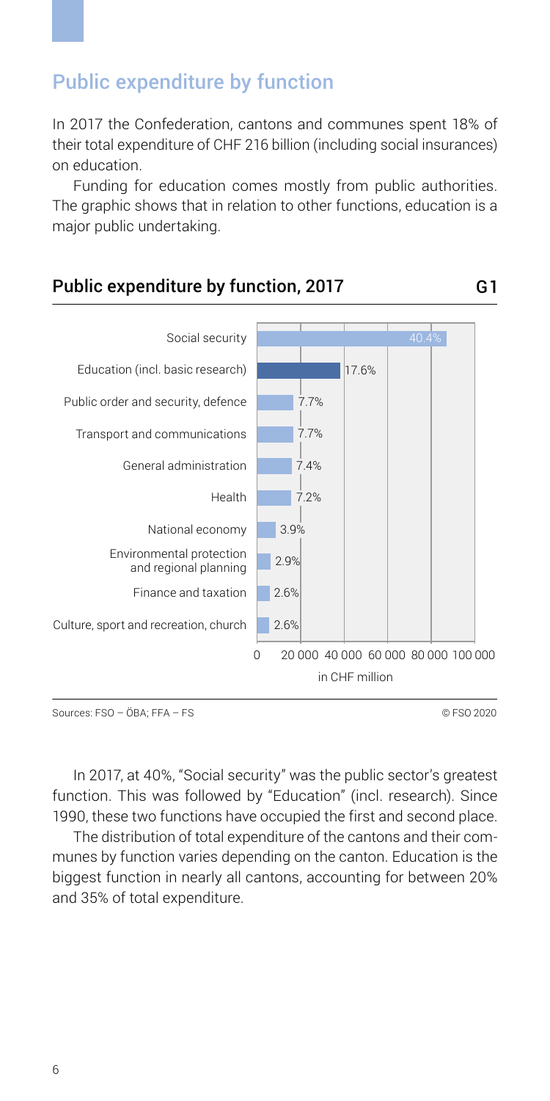# <span id="page-5-0"></span>Public expenditure by function

In 2017 the Confederation, cantons and communes spent 18% of their total expenditure of CHF 216 billion (including social insurances) on education.

Funding for education comes mostly from public authorities. The graphic shows that in relation to other functions, education is a major public undertaking.



In 2017, at 40%, "Social security" was the public sector's greatest function. This was followed by "Education" (incl. research). Since 1990, these two functions have occupied the first and second place.

The distribution of total expenditure of the cantons and their communes by function varies depending on the canton. Education is the biggest function in nearly all cantons, accounting for between 20% and 35% of total expenditure.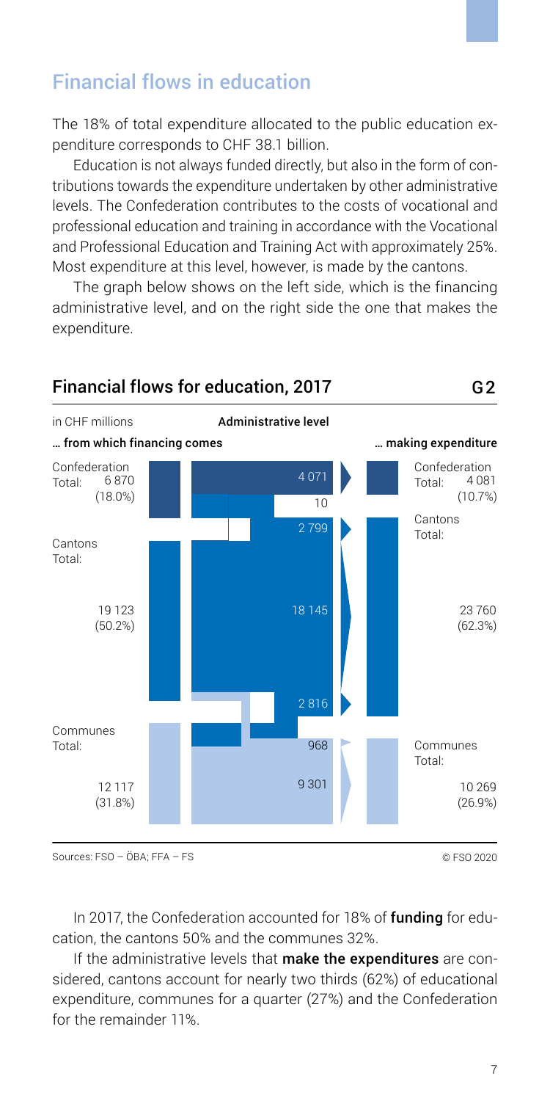# <span id="page-6-0"></span>Financial flows in education

The 18% of total expenditure allocated to the public education expenditure corresponds to CHF 38.1 billion.

Education is not always funded directly, but also in the form of contributions towards the expenditure undertaken by other administrative levels. The Confederation contributes to the costs of vocational and professional education and training in accordance with the Vocational and Professional Education and Training Act with approximately 25%. Most expenditure at this level, however, is made by the cantons.

The graph below shows on the left side, which is the financing administrative level, and on the right side the one that makes the expenditure.



In 2017, the Confederation accounted for 18% of **funding** for education, the cantons 50% and the communes 32%.

If the administrative levels that make the expenditures are considered, cantons account for nearly two thirds (62%) of educational expenditure, communes for a quarter (27%) and the Confederation for the remainder 11%.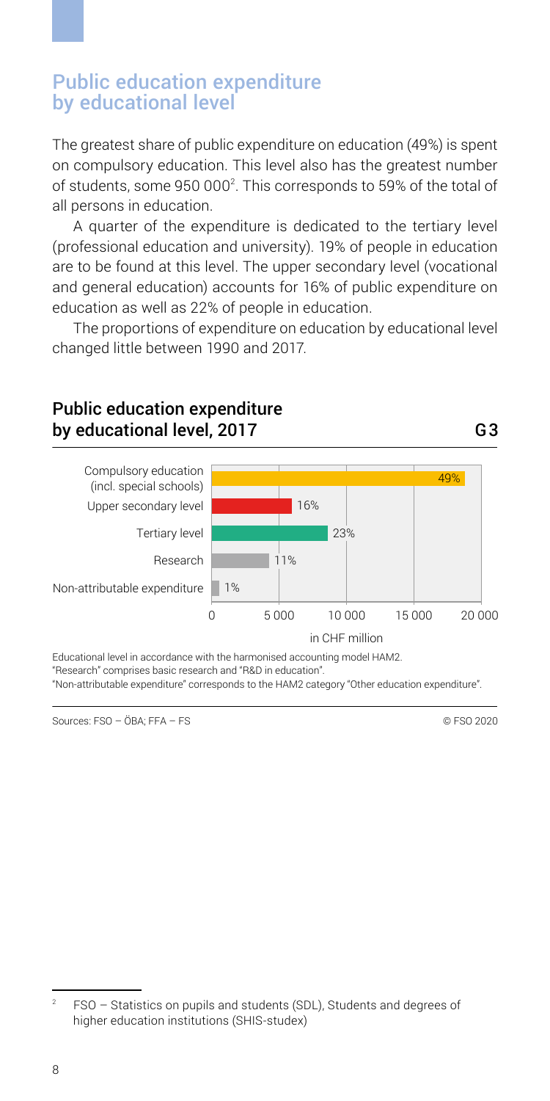#### <span id="page-7-0"></span>Public education expenditure by educational level

The greatest share of public expenditure on education (49%) is spent on compulsory education. This level also has the greatest number of students, some 950 000<sup>2</sup>. This corresponds to 59% of the total of all persons in education.

A quarter of the expenditure is dedicated to the tertiary level (professional education and university). 19% of people in education are to be found at this level. The upper secondary level (vocational and general education) accounts for 16% of public expenditure on education as well as 22% of people in education.

The proportions of expenditure on education by educational level changed little between 1990 and 2017.



#### Public education expenditure by educational level, 2017

Educational level in accordance with the harmonised accounting model HAM2.

"Research" comprises basic research and "R&D in education".

"Non-attributable expenditure" corresponds to the HAM2 category "Other education expenditure".

Sources: FSO – ÖBA; FFA – FS

G3

FSO – Statistics on pupils and students (SDL), Students and degrees of higher education institutions (SHIS-studex)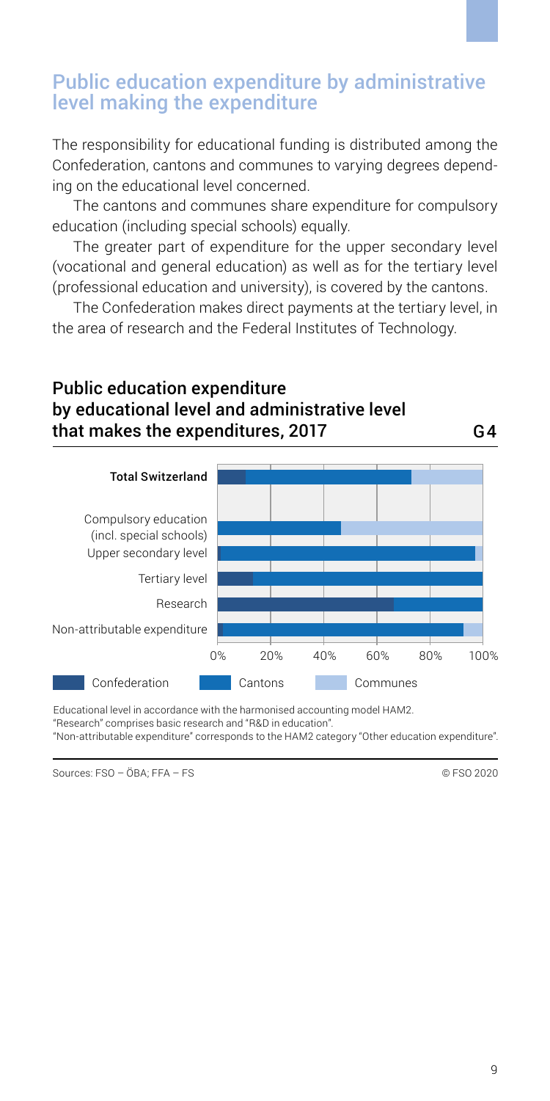#### <span id="page-8-0"></span>Public education expenditure by administrative level making the expenditure

The responsibility for educational funding is distributed among the Confederation, cantons and communes to varying degrees depending on the educational level concerned.

The cantons and communes share expenditure for compulsory education (including special schools) equally.

The greater part of expenditure for the upper secondary level (vocational and general education) as well as for the tertiary level (professional education and university), is covered by the cantons.

The Confederation makes direct payments at the tertiary level, in the area of research and the Federal Institutes of Technology.

#### Public education expenditure by educational level and administrative level that makes the expenditures, 2017 G4



Educational level in accordance with the harmonised accounting model HAM2.

"Research" comprises basic research and "R&D in education".

"Non-attributable expenditure" corresponds to the HAM2 category "Other education expenditure".

Sources: FSO – ÖBA; FFA – FS © FSO 2020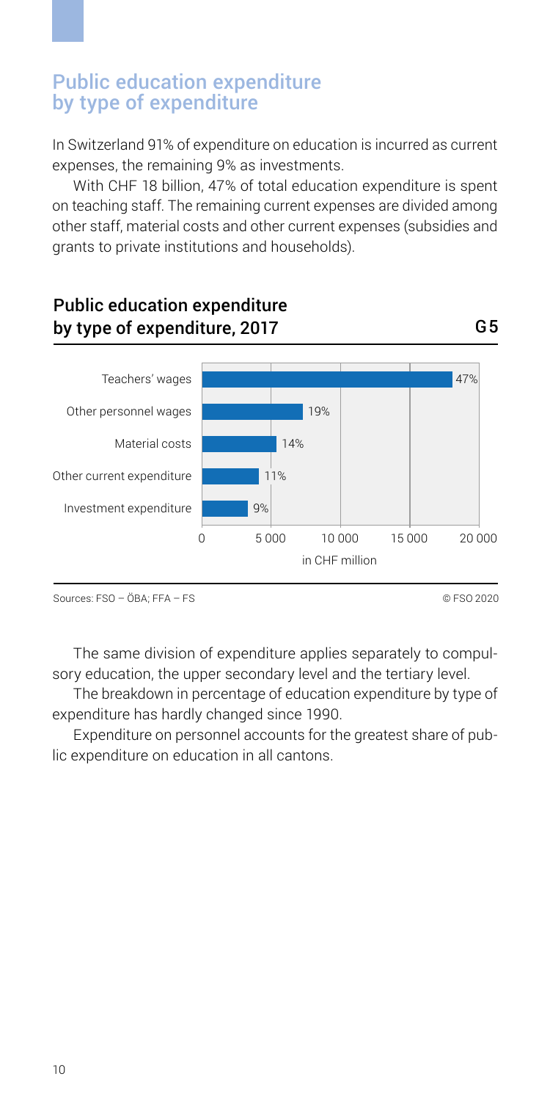#### <span id="page-9-0"></span>Public education expenditure by type of expenditure

In Switzerland 91% of expenditure on education is incurred as current expenses, the remaining 9% as investments.

With CHF 18 billion, 47% of total education expenditure is spent on teaching staff. The remaining current expenses are divided among other staff, material costs and other current expenses (subsidies and grants to private institutions and households).



Sources: FSO – ÖBA; FFA – FS © FSO 2020

The same division of expenditure applies separately to compulsory education, the upper secondary level and the tertiary level.

The breakdown in percentage of education expenditure by type of expenditure has hardly changed since 1990.

Expenditure on personnel accounts for the greatest share of public expenditure on education in all cantons.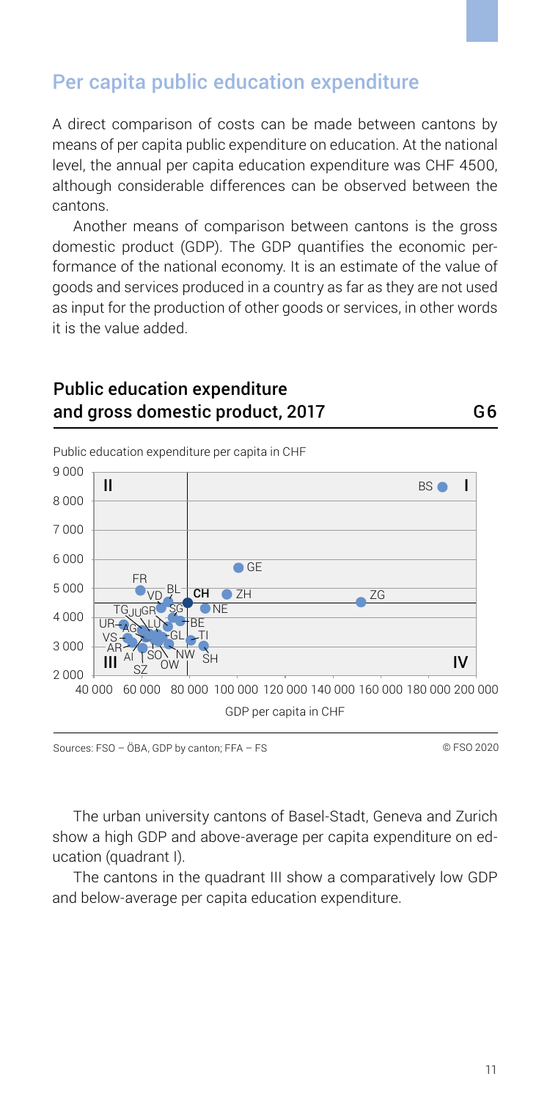# <span id="page-10-0"></span>Per capita public education expenditure

A direct comparison of costs can be made between cantons by means of per capita public expenditure on education. At the national level, the annual per capita education expenditure was CHF 4500, although considerable differences can be observed between the cantons.

Another means of comparison between cantons is the gross domestic product (GDP). The GDP quantifies the economic performance of the national economy. It is an estimate of the value of goods and services produced in a country as far as they are not used as input for the production of other goods or services, in other words it is the value added.

#### Public education expenditure and gross domestic product, 2017

40 000 60 000 80 000 120 000 140 000 160 000 180 000 200 000 100 000 GDP per capita in CHF  $2000 + 1000 + 52$ 3 000 4 000 5 000 6 000 7 000  $8000$ 9 000 SZ OW SH TI SO VS AI UR-AG LU GL BE SG NE  $CH$   $ZH$   $ZH$   $ZG$ FR  $\overline{\bullet}$  GF BS **O** Public education expenditure per capita in CHF II I  $\frac{1}{2}$   $\frac{1}{2}$   $\frac{1}{2}$   $\frac{1}{2}$   $\frac{1}{2}$   $\frac{1}{2}$   $\frac{1}{2}$   $\frac{1}{2}$   $\frac{1}{2}$   $\frac{1}{2}$   $\frac{1}{2}$   $\frac{1}{2}$   $\frac{1}{2}$   $\frac{1}{2}$   $\frac{1}{2}$   $\frac{1}{2}$   $\frac{1}{2}$   $\frac{1}{2}$   $\frac{1}{2}$   $\frac{1}{2}$   $\frac{1}{2}$   $\frac{1}{2}$  BL <u>TG</u>JUGR AR <sub>AL</sub> TSON NW

G6

The urban university cantons of Basel-Stadt, Geneva and Zurich show a high GDP and above-average per capita expenditure on education (quadrant I).

The cantons in the quadrant III show a comparatively low GDP and below-average per capita education expenditure.

Sources: FSO – ÖBA, GDP by canton; FFA – FS © FSO 2020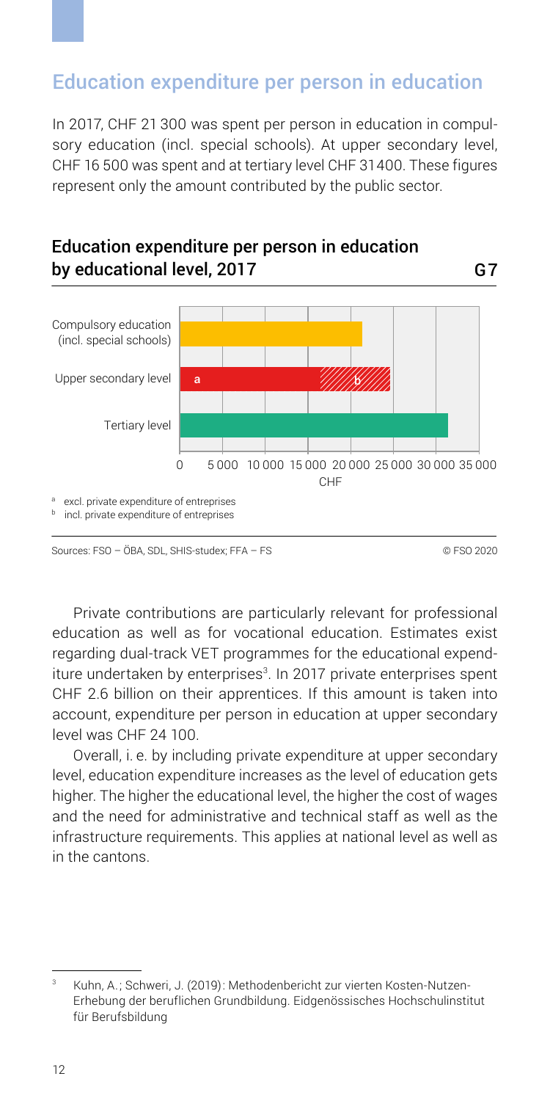# <span id="page-11-0"></span>Education expenditure per person in education

In 2017, CHF 21 300 was spent per person in education in compulsory education (incl. special schools). At upper secondary level, CHF 16 500 was spent and at tertiary level CHF 31 400. These figures represent only the amount contributed by the public sector.



Education expenditure per person in education

Sources: FSO – ÖBA, SDL, SHIS-studex; FFA – FS © FSO 2020

Private contributions are particularly relevant for professional education as well as for vocational education. Estimates exist regarding dual-track VET programmes for the educational expenditure undertaken by enterprises<sup>3</sup>. In 2017 private enterprises spent CHF 2.6 billion on their apprentices. If this amount is taken into account, expenditure per person in education at upper secondary level was CHF 24 100.

Overall, i. e. by including private expenditure at upper secondary level, education expenditure increases as the level of education gets higher. The higher the educational level, the higher the cost of wages and the need for administrative and technical staff as well as the infrastructure requirements. This applies at national level as well as in the cantons.

Kuhn, A.; Schweri, J. (2019): Methodenbericht zur vierten Kosten-Nutzen-Erhebung der beruflichen Grundbildung. Eidgenössisches Hochschulinstitut für Berufsbildung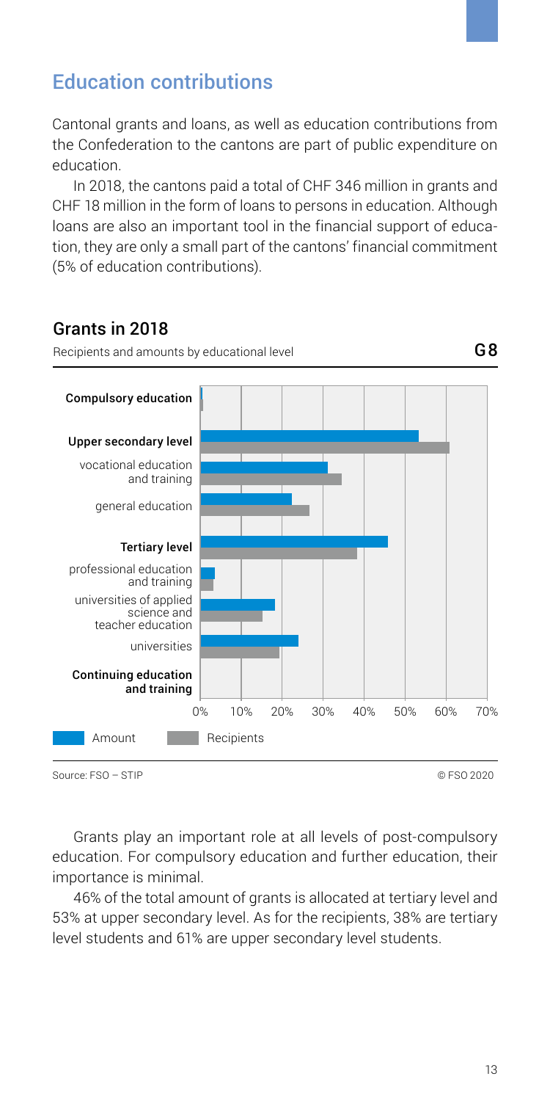# <span id="page-12-0"></span>Education contributions

Cantonal grants and loans, as well as education contributions from the Confederation to the cantons are part of public expenditure on education.

In 2018, the cantons paid a total of CHF 346 million in grants and CHF 18 million in the form of loans to persons in education. Although loans are also an important tool in the financial support of education, they are only a small part of the cantons' financial commitment (5% of education contributions).

#### Grants in 2018



Source: FSO – STIP © FSO 2020

Grants play an important role at all levels of post-compulsory education. For compulsory education and further education, their importance is minimal.

46% of the total amount of grants is allocated at tertiary level and 53% at upper secondary level. As for the recipients, 38% are tertiary level students and 61% are upper secondary level students.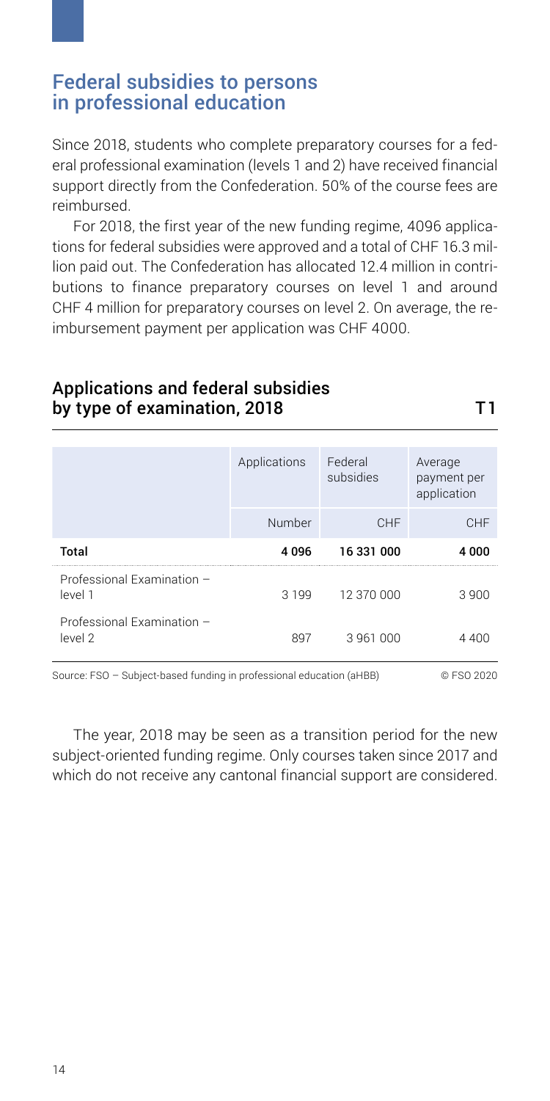#### <span id="page-13-0"></span>Federal subsidies to persons in professional education

Since 2018, students who complete preparatory courses for a federal professional examination (levels 1 and 2) have received financial support directly from the Confederation. 50% of the course fees are reimbursed.

For 2018, the first year of the new funding regime, 4096 applications for federal subsidies were approved and a total of CHF 16.3 million paid out. The Confederation has allocated 12.4 million in contributions to finance preparatory courses on level 1 and around CHF 4 million for preparatory courses on level 2. On average, the reimbursement payment per application was CHF 4000.

#### Applications and federal subsidies by type of examination, 2018

|                                       | Applications | Federal<br>subsidies | Average<br>payment per<br>application |
|---------------------------------------|--------------|----------------------|---------------------------------------|
|                                       | Number       | CHF                  | CHF                                   |
| Total                                 | 4096         | 16 331 000           | 4 000                                 |
| Professional Examination -<br>level 1 | 3 1 9 9      | 12 370 000           | 3 900                                 |
| Professional Examination -<br>level 2 | 897          | 3961000              |                                       |

Source: FSO – Subject-based funding in professional education (aHBB) © FSO 2020

The year, 2018 may be seen as a transition period for the new subject-oriented funding regime. Only courses taken since 2017 and which do not receive any cantonal financial support are considered.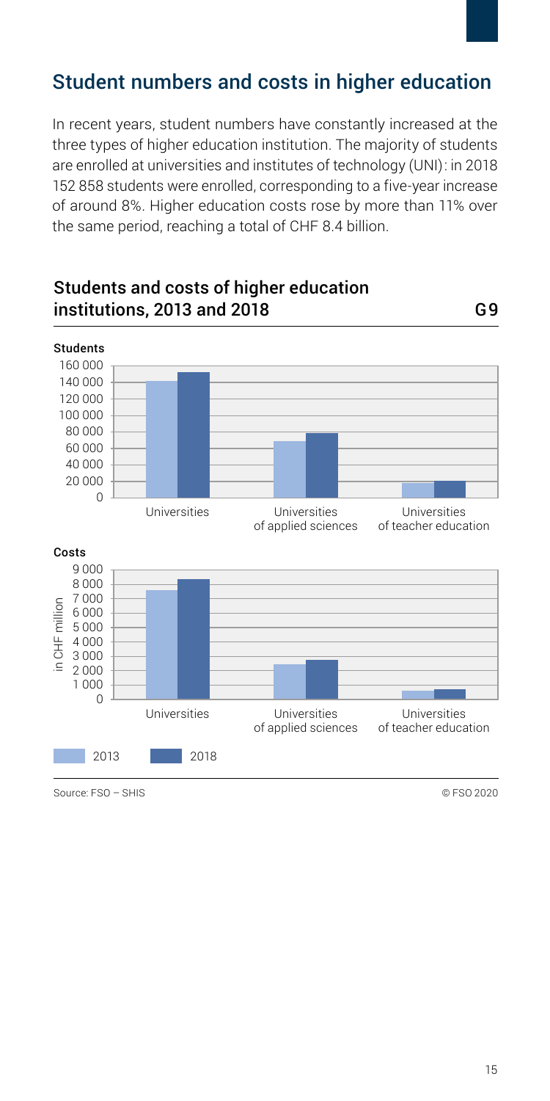# <span id="page-14-0"></span>Student numbers and costs in higher education

In recent years, student numbers have constantly increased at the three types of higher education institution. The majority of students are enrolled at universities and institutes of technology (UNI): in 2018 152 858 students were enrolled, corresponding to a five-year increase of around 8%. Higher education costs rose by more than 11% over the same period, reaching a total of CHF 8.4 billion.



Students and costs of higher education institutions, 2013 and 2018 G9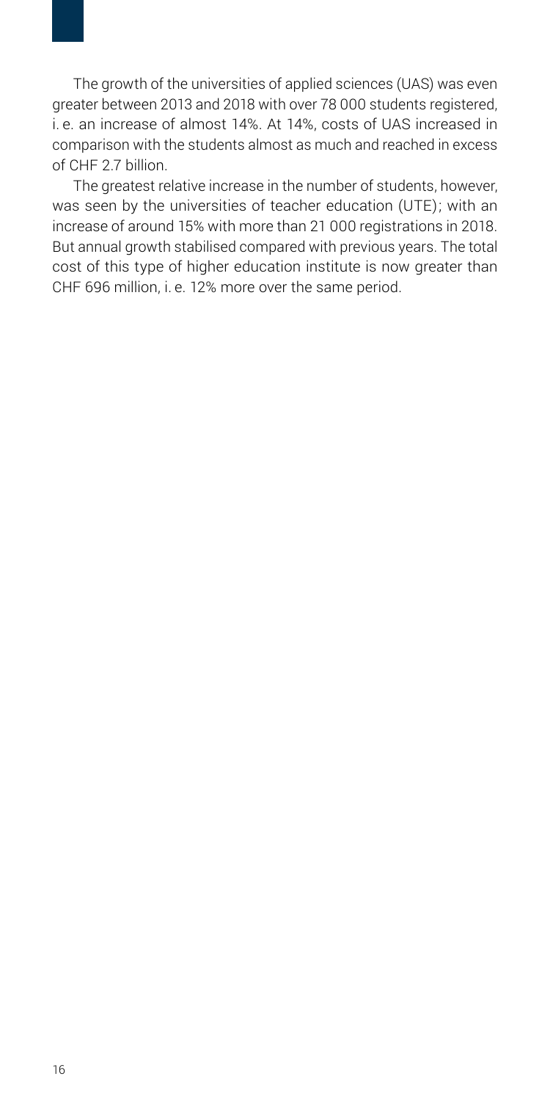The growth of the universities of applied sciences (UAS) was even greater between 2013 and 2018 with over 78 000 students registered, i. e. an increase of almost 14%. At 14%, costs of UAS increased in comparison with the students almost as much and reached in excess of CHF 2.7 billion.

The greatest relative increase in the number of students, however, was seen by the universities of teacher education (UTE); with an increase of around 15% with more than 21 000 registrations in 2018. But annual growth stabilised compared with previous years. The total cost of this type of higher education institute is now greater than CHF 696 million, i. e. 12% more over the same period.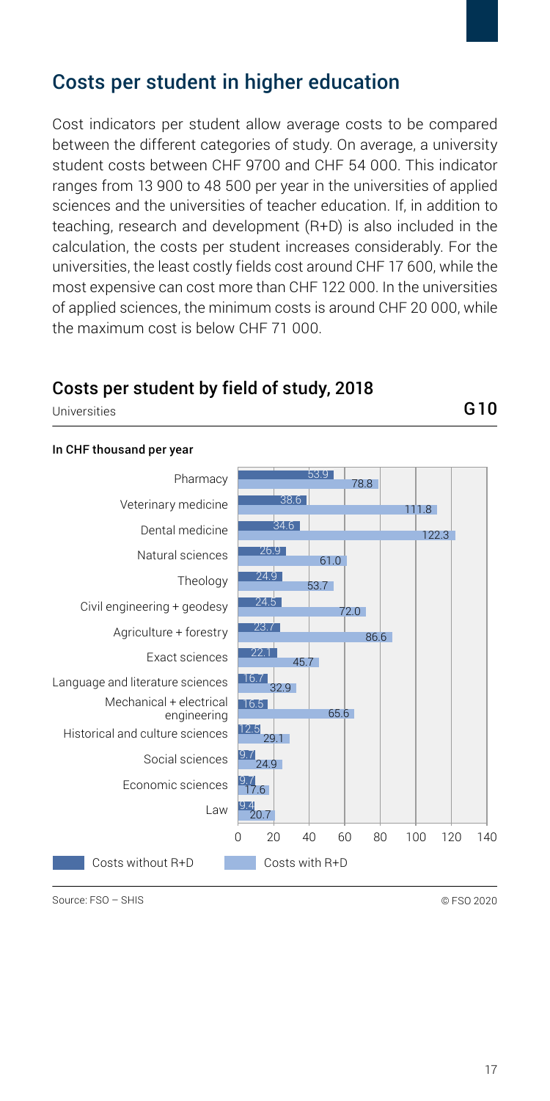## <span id="page-16-0"></span>Costs per student in higher education

Cost indicators per student allow average costs to be compared between the different categories of study. On average, a university student costs between CHF 9700 and CHF 54 000. This indicator ranges from 13 900 to 48 500 per year in the universities of applied sciences and the universities of teacher education. If in addition to teaching, research and development (R+D) is also included in the calculation, the costs per student increases considerably. For the universities, the least costly fields cost around CHF 17 600, while the most expensive can cost more than CHF 122 000. In the universities of applied sciences, the minimum costs is around CHF 20 000, while the maximum cost is below CHF 71 000.

#### Costs per student by field of study, 2018

Universities G10

#### In CHF thousand per year



Source: FSO – SHIS © FSO 2020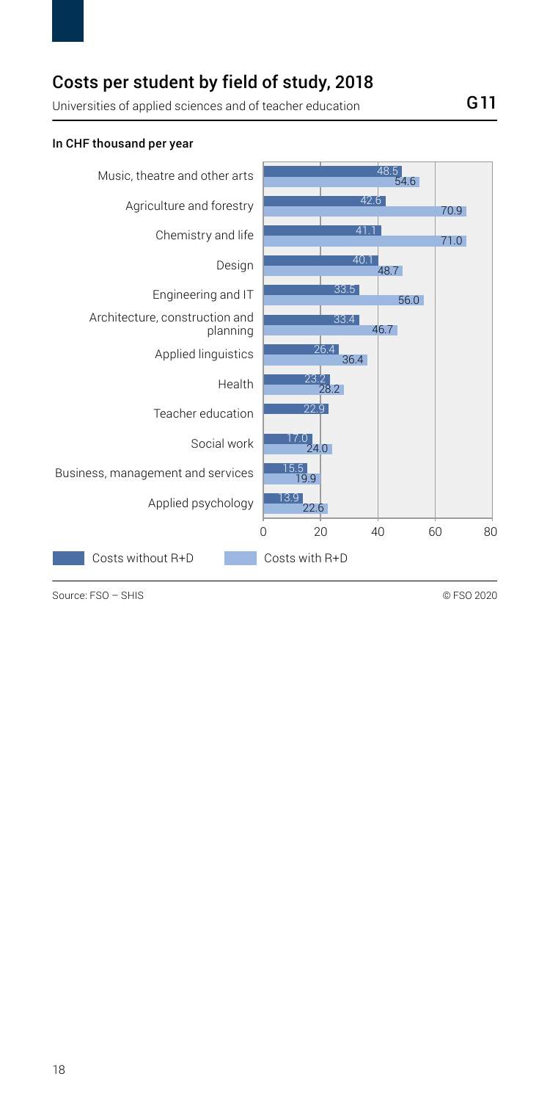## Costs per student by field of study, 2018

Universities of applied sciences and of teacher education G11

#### 0 20 40 60 80 Applied psychology Business, management and services Social work Teacher education Health Applied linguistics Engineering and IT Architecture, construction and planning Design Chemistry and life Agriculture and forestry Music, theatre and other arts 42.6 41.1 40.1 33.4 33.5 26.4 23.2 22.9 17.0 15.5 19.9 13.9  $\frac{48.5}{54.6}$ 70.9 71.0 48.7 46.7 56.0 36.4 28.2  $4n$  $26.5$ Costs without R+D Costs with R+D

In CHF thousand per year

Source: FSO – SHIS © FSO 2020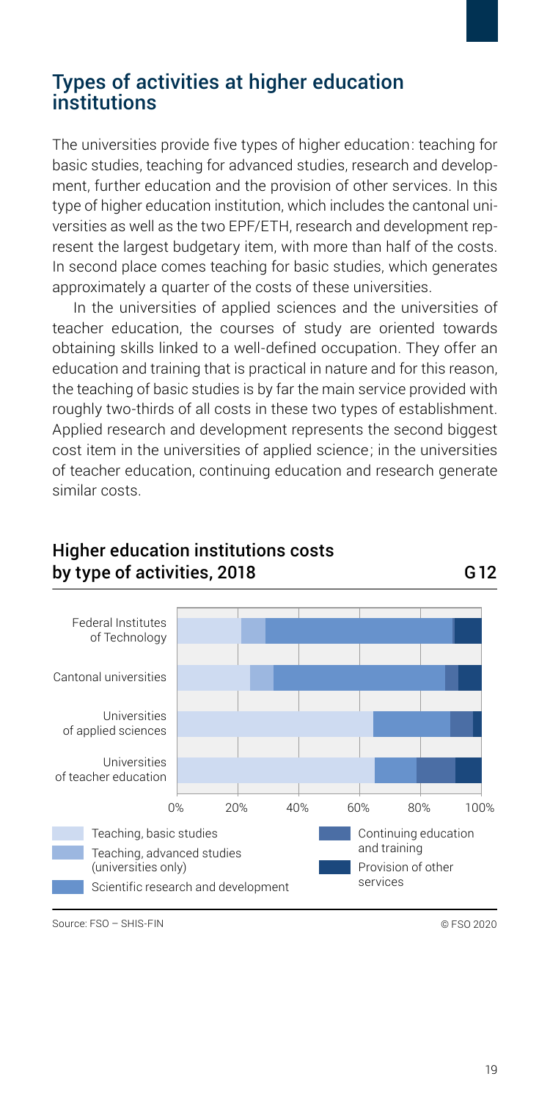## <span id="page-18-0"></span>Types of activities at higher education institutions

The universities provide five types of higher education: teaching for basic studies, teaching for advanced studies, research and development, further education and the provision of other services. In this type of higher education institution, which includes the cantonal universities as well as the two EPF/ETH, research and development represent the largest budgetary item, with more than half of the costs. In second place comes teaching for basic studies, which generates approximately a quarter of the costs of these universities.

In the universities of applied sciences and the universities of teacher education, the courses of study are oriented towards obtaining skills linked to a well-defined occupation. They offer an education and training that is practical in nature and for this reason, the teaching of basic studies is by far the main service provided with roughly two-thirds of all costs in these two types of establishment. Applied research and development represents the second biggest cost item in the universities of applied science; in the universities of teacher education, continuing education and research generate similar costs.



#### Higher education institutions costs by type of activities, 2018 G12

Source: FSO – SHIS-FIN © FSO 2020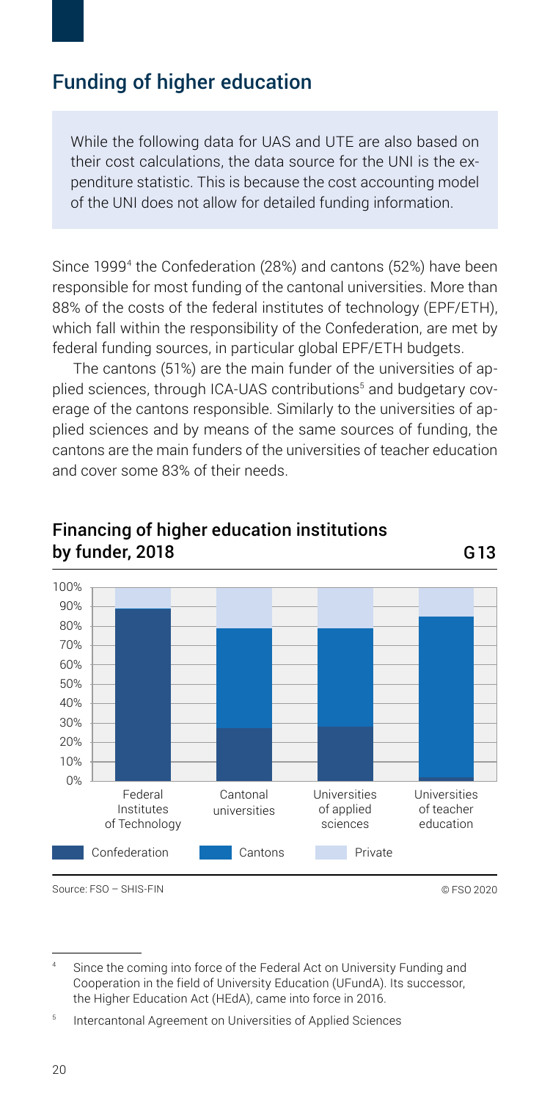# <span id="page-19-0"></span>Funding of higher education

While the following data for UAS and UTE are also based on their cost calculations, the data source for the UNI is the expenditure statistic. This is because the cost accounting model of the UNI does not allow for detailed funding information.

Since 19994 the Confederation (28%) and cantons (52%) have been responsible for most funding of the cantonal universities. More than 88% of the costs of the federal institutes of technology (EPF/ETH), which fall within the responsibility of the Confederation, are met by federal funding sources, in particular global EPF/ETH budgets.

The cantons (51%) are the main funder of the universities of applied sciences, through ICA-UAS contributions<sup>5</sup> and budgetary coverage of the cantons responsible. Similarly to the universities of applied sciences and by means of the same sources of funding, the cantons are the main funders of the universities of teacher education and cover some 83% of their needs.



#### Financing of higher education institutions by funder, 2018 G13

Source: FSO – SHIS-FIN © FSO 2020

Since the coming into force of the Federal Act on University Funding and Cooperation in the field of University Education (UFundA). Its successor, the Higher Education Act (HEdA), came into force in 2016.

<sup>5</sup> Intercantonal Agreement on Universities of Applied Sciences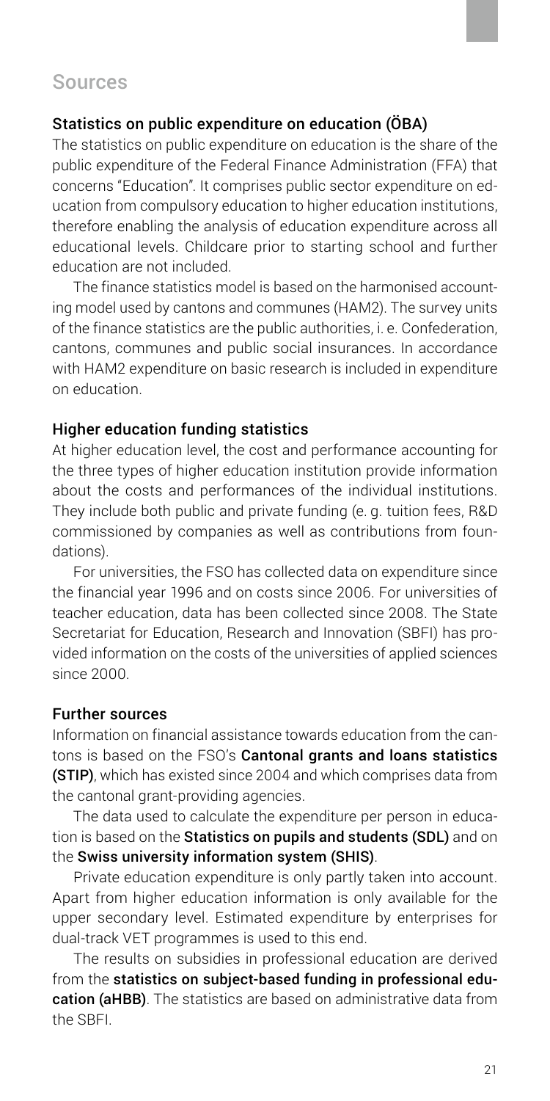## <span id="page-20-0"></span>Sources

#### Statistics on public expenditure on education (ÖBA)

The statistics on public expenditure on education is the share of the public expenditure of the Federal Finance Administration (FFA) that concerns "Education". It comprises public sector expenditure on education from compulsory education to higher education institutions, therefore enabling the analysis of education expenditure across all educational levels. Childcare prior to starting school and further education are not included.

The finance statistics model is based on the harmonised accounting model used by cantons and communes (HAM2). The survey units of the finance statistics are the public authorities, i. e. Confederation, cantons, communes and public social insurances. In accordance with HAM2 expenditure on basic research is included in expenditure on education.

#### Higher education funding statistics

At higher education level, the cost and performance accounting for the three types of higher education institution provide information about the costs and performances of the individual institutions. They include both public and private funding (e. g. tuition fees, R&D commissioned by companies as well as contributions from foundations).

For universities, the FSO has collected data on expenditure since the financial year 1996 and on costs since 2006. For universities of teacher education, data has been collected since 2008. The State Secretariat for Education, Research and Innovation (SBFI) has provided information on the costs of the universities of applied sciences since 2000.

#### Further sources

Information on financial assistance towards education from the cantons is based on the FSO's Cantonal grants and loans statistics (STIP), which has existed since 2004 and which comprises data from the cantonal grant-providing agencies.

The data used to calculate the expenditure per person in education is based on the Statistics on pupils and students (SDL) and on the Swiss university information system (SHIS).

Private education expenditure is only partly taken into account. Apart from higher education information is only available for the upper secondary level. Estimated expenditure by enterprises for dual-track VET programmes is used to this end.

The results on subsidies in professional education are derived from the statistics on subject-based funding in professional education (aHBB). The statistics are based on administrative data from the SBFI.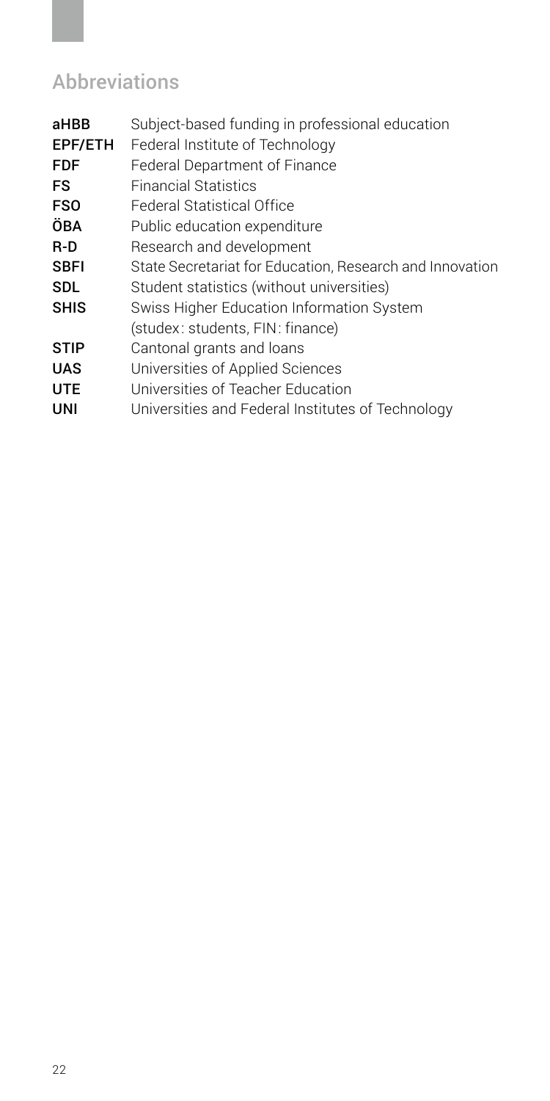# <span id="page-21-0"></span>Abbreviations

| aHBB        | Subject-based funding in professional education          |
|-------------|----------------------------------------------------------|
| EPF/ETH     | Federal Institute of Technology                          |
| FDF         | Federal Department of Finance                            |
| FS          | <b>Financial Statistics</b>                              |
| <b>FSO</b>  | Federal Statistical Office                               |
| ÖBA         | Public education expenditure                             |
| R-D         | Research and development                                 |
| SBFI        | State Secretariat for Education, Research and Innovation |
| SDL         | Student statistics (without universities)                |
| <b>SHIS</b> | Swiss Higher Education Information System                |
|             | (studex: students, FIN: finance)                         |
| <b>STIP</b> | Cantonal grants and loans                                |
| <b>UAS</b>  | Universities of Applied Sciences                         |
| <b>UTE</b>  | Universities of Teacher Education                        |
| UNI         | Universities and Federal Institutes of Technology        |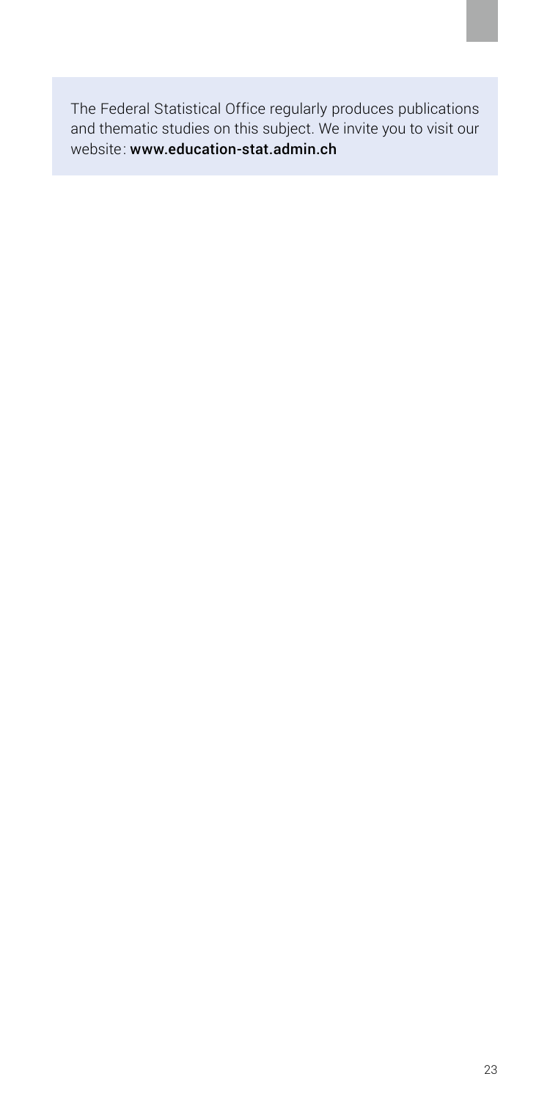The Federal Statistical Office regularly produces publications and thematic studies on this subject. We invite you to visit our website: www.education-stat.admin.ch